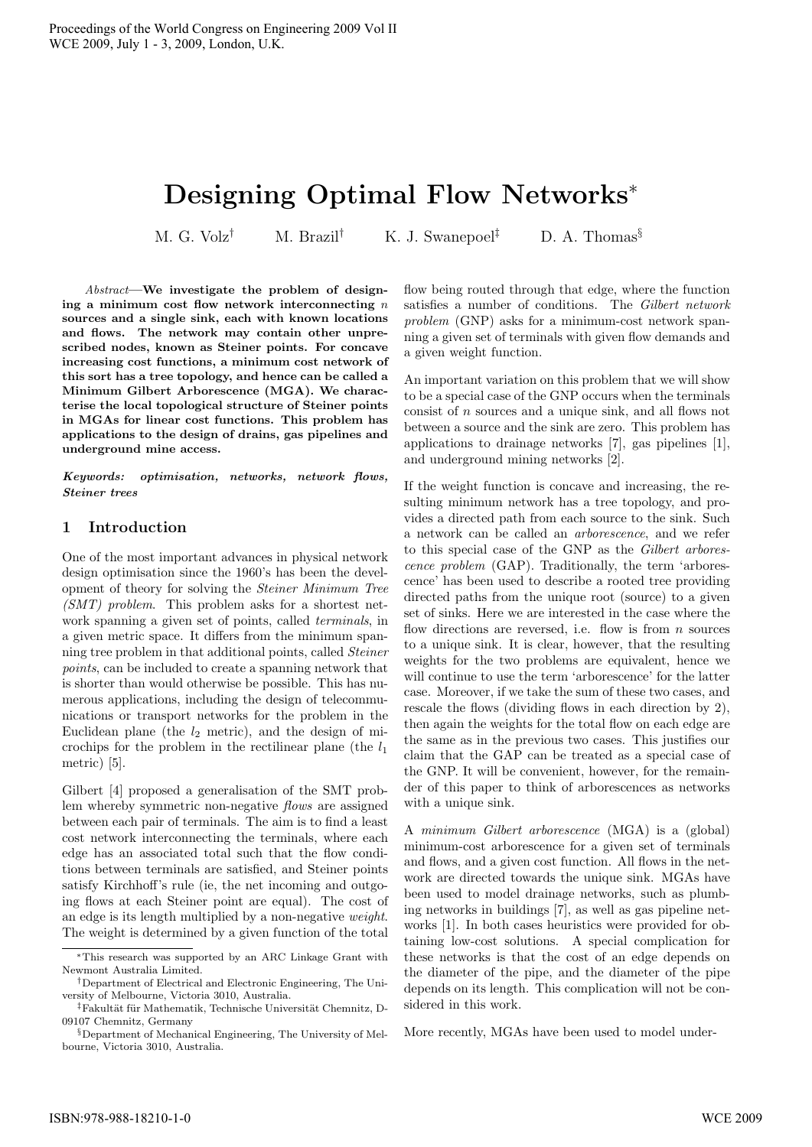# **Designing Optimal Flow Networks**<sup>∗</sup>

M. G. Volz<sup>†</sup> M. Brazil<sup>†</sup> K. J. Swanepoel<sup>‡</sup> D. A. Thomas<sup>§</sup>

Abstract**—We investigate the problem of designing a minimum cost flow network interconnecting** n **sources and a single sink, each with known locations and flows. The network may contain other unprescribed nodes, known as Steiner points. For concave increasing cost functions, a minimum cost network of this sort has a tree topology, and hence can be called a Minimum Gilbert Arborescence (MGA). We characterise the local topological structure of Steiner points in MGAs for linear cost functions. This problem has applications to the design of drains, gas pipelines and underground mine access.**

*Keywords: optimisation, networks, network flows, Steiner trees*

## **1 Introduction**

One of the most important advances in physical network design optimisation since the 1960's has been the development of theory for solving the Steiner Minimum Tree (SMT) problem. This problem asks for a shortest network spanning a given set of points, called terminals, in a given metric space. It differs from the minimum spanning tree problem in that additional points, called Steiner points, can be included to create a spanning network that is shorter than would otherwise be possible. This has numerous applications, including the design of telecommunications or transport networks for the problem in the Euclidean plane (the  $l_2$  metric), and the design of microchips for the problem in the rectilinear plane (the  $l_1$ ) metric) [5].

Gilbert [4] proposed a generalisation of the SMT problem whereby symmetric non-negative flows are assigned between each pair of terminals. The aim is to find a least cost network interconnecting the terminals, where each edge has an associated total such that the flow conditions between terminals are satisfied, and Steiner points satisfy Kirchhoff's rule (ie, the net incoming and outgoing flows at each Steiner point are equal). The cost of an edge is its length multiplied by a non-negative weight. The weight is determined by a given function of the total flow being routed through that edge, where the function satisfies a number of conditions. The Gilbert network problem (GNP) asks for a minimum-cost network spanning a given set of terminals with given flow demands and a given weight function.

An important variation on this problem that we will show to be a special case of the GNP occurs when the terminals consist of n sources and a unique sink, and all flows not between a source and the sink are zero. This problem has applications to drainage networks [7], gas pipelines [1], and underground mining networks [2].

If the weight function is concave and increasing, the resulting minimum network has a tree topology, and provides a directed path from each source to the sink. Such a network can be called an arborescence, and we refer to this special case of the GNP as the Gilbert arborescence problem (GAP). Traditionally, the term 'arborescence' has been used to describe a rooted tree providing directed paths from the unique root (source) to a given set of sinks. Here we are interested in the case where the flow directions are reversed, i.e. flow is from  $n$  sources to a unique sink. It is clear, however, that the resulting weights for the two problems are equivalent, hence we will continue to use the term 'arborescence' for the latter case. Moreover, if we take the sum of these two cases, and rescale the flows (dividing flows in each direction by 2), then again the weights for the total flow on each edge are the same as in the previous two cases. This justifies our claim that the GAP can be treated as a special case of the GNP. It will be convenient, however, for the remainder of this paper to think of arborescences as networks with a unique sink.

A minimum Gilbert arborescence (MGA) is a (global) minimum-cost arborescence for a given set of terminals and flows, and a given cost function. All flows in the network are directed towards the unique sink. MGAs have been used to model drainage networks, such as plumbing networks in buildings [7], as well as gas pipeline networks [1]. In both cases heuristics were provided for obtaining low-cost solutions. A special complication for these networks is that the cost of an edge depends on the diameter of the pipe, and the diameter of the pipe depends on its length. This complication will not be considered in this work.

More recently, MGAs have been used to model under-

<sup>∗</sup>This research was supported by an ARC Linkage Grant with Newmont Australia Limited.

<sup>†</sup>Department of Electrical and Electronic Engineering, The University of Melbourne, Victoria 3010, Australia.

<sup>&</sup>lt;sup>‡</sup>Fakultät für Mathematik, Technische Universität Chemnitz, D-09107 Chemnitz, Germany

 $\S$ Department of Mechanical Engineering, The University of Melbourne, Victoria 3010, Australia.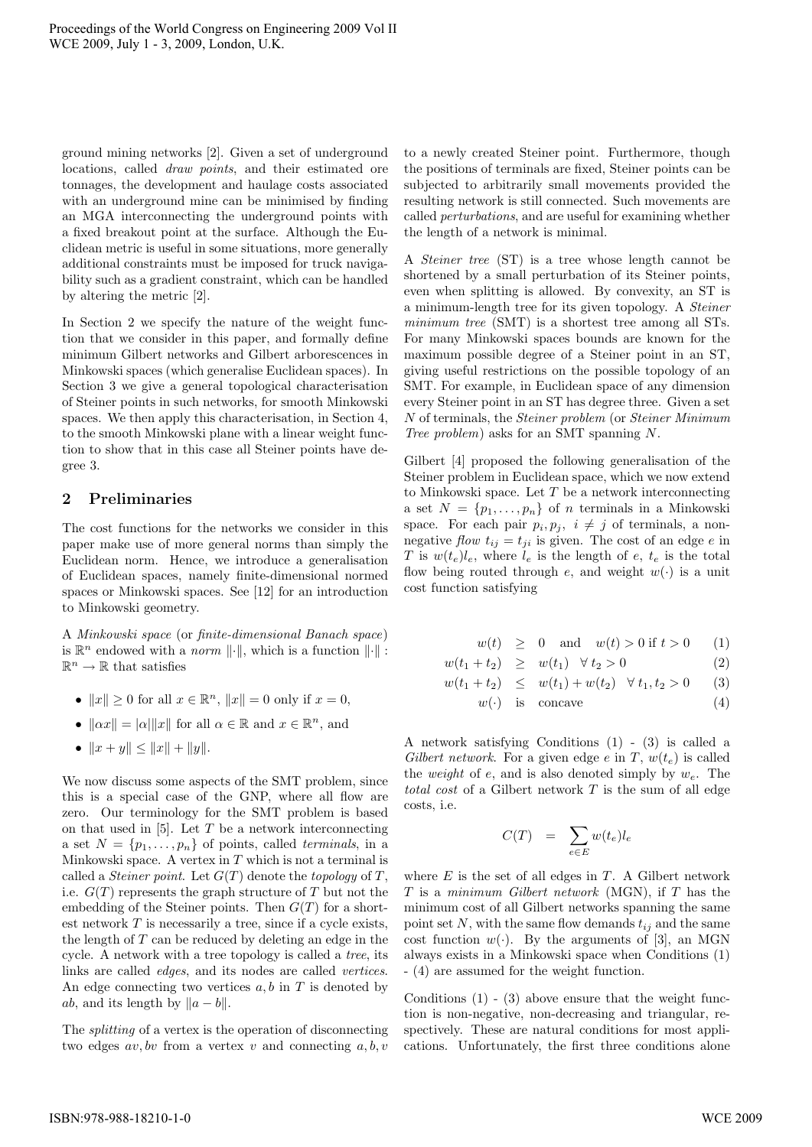ground mining networks [2]. Given a set of underground locations, called draw points, and their estimated ore tonnages, the development and haulage costs associated with an underground mine can be minimised by finding an MGA interconnecting the underground points with a fixed breakout point at the surface. Although the Euclidean metric is useful in some situations, more generally additional constraints must be imposed for truck navigability such as a gradient constraint, which can be handled by altering the metric [2].

In Section 2 we specify the nature of the weight function that we consider in this paper, and formally define minimum Gilbert networks and Gilbert arborescences in Minkowski spaces (which generalise Euclidean spaces). In Section 3 we give a general topological characterisation of Steiner points in such networks, for smooth Minkowski spaces. We then apply this characterisation, in Section 4, to the smooth Minkowski plane with a linear weight function to show that in this case all Steiner points have degree 3.

## **2 Preliminaries**

The cost functions for the networks we consider in this paper make use of more general norms than simply the Euclidean norm. Hence, we introduce a generalisation of Euclidean spaces, namely finite-dimensional normed spaces or Minkowski spaces. See [12] for an introduction to Minkowski geometry.

A Minkowski space (or finite-dimensional Banach space) is  $\mathbb{R}^n$  endowed with a *norm*  $\|\cdot\|$ , which is a function  $\|\cdot\|$ :  $\mathbb{R}^n \to \mathbb{R}$  that satisfies

- $||x|| > 0$  for all  $x \in \mathbb{R}^n$ ,  $||x|| = 0$  only if  $x = 0$ ,
- $\|\alpha x\| = |\alpha| \|x\|$  for all  $\alpha \in \mathbb{R}$  and  $x \in \mathbb{R}^n$ , and
- $||x + y|| \le ||x|| + ||y||.$

We now discuss some aspects of the SMT problem, since this is a special case of the GNP, where all flow are zero. Our terminology for the SMT problem is based on that used in  $[5]$ . Let T be a network interconnecting a set  $N = \{p_1, \ldots, p_n\}$  of points, called *terminals*, in a Minkowski space. A vertex in  $T$  which is not a terminal is called a *Steiner point*. Let  $G(T)$  denote the *topology* of T, i.e.  $G(T)$  represents the graph structure of T but not the embedding of the Steiner points. Then  $G(T)$  for a shortest network  $T$  is necessarily a tree, since if a cycle exists, the length of  $T$  can be reduced by deleting an edge in the cycle. A network with a tree topology is called a tree, its links are called edges, and its nodes are called vertices. An edge connecting two vertices  $a, b$  in  $T$  is denoted by *ab*, and its length by  $||a - b||$ .

The splitting of a vertex is the operation of disconnecting two edges  $av, bv$  from a vertex v and connecting  $a, b, v$  to a newly created Steiner point. Furthermore, though the positions of terminals are fixed, Steiner points can be subjected to arbitrarily small movements provided the resulting network is still connected. Such movements are called perturbations, and are useful for examining whether the length of a network is minimal.

A Steiner tree (ST) is a tree whose length cannot be shortened by a small perturbation of its Steiner points, even when splitting is allowed. By convexity, an ST is a minimum-length tree for its given topology. A Steiner minimum tree (SMT) is a shortest tree among all STs. For many Minkowski spaces bounds are known for the maximum possible degree of a Steiner point in an ST, giving useful restrictions on the possible topology of an SMT. For example, in Euclidean space of any dimension every Steiner point in an ST has degree three. Given a set N of terminals, the Steiner problem (or Steiner Minimum Tree problem) asks for an SMT spanning N.

Gilbert [4] proposed the following generalisation of the Steiner problem in Euclidean space, which we now extend to Minkowski space. Let  $T$  be a network interconnecting a set  $N = \{p_1, \ldots, p_n\}$  of *n* terminals in a Minkowski space. For each pair  $p_i, p_j, i \neq j$  of terminals, a nonnegative *flow*  $t_{ij} = t_{ji}$  is given. The cost of an edge e in T is  $w(t_e)l_e$ , where  $l_e$  is the length of  $e$ ,  $t_e$  is the total flow being routed through e, and weight  $w(\cdot)$  is a unit cost function satisfying

 $w(t) \geq 0$  and  $w(t) > 0$  if  $t > 0$  (1)

 $w(t_1 + t_2) \geq w(t_1) \forall t_2 > 0$  (2)

$$
w(t_1 + t_2) \leq w(t_1) + w(t_2) \quad \forall \ t_1, t_2 > 0 \qquad (3)
$$

$$
w(\cdot) \quad \text{is} \quad \text{concave} \tag{4}
$$

A network satisfying Conditions (1) - (3) is called a Gilbert network. For a given edge e in T,  $w(t_e)$  is called the *weight* of e, and is also denoted simply by  $w_e$ . The total cost of a Gilbert network  $T$  is the sum of all edge costs, i.e.

$$
C(T) = \sum_{e \in E} w(t_e) l_e
$$

where  $E$  is the set of all edges in  $T$ . A Gilbert network  $T$  is a minimum Gilbert network (MGN), if  $T$  has the minimum cost of all Gilbert networks spanning the same point set N, with the same flow demands  $t_{ij}$  and the same cost function  $w(\cdot)$ . By the arguments of [3], an MGN always exists in a Minkowski space when Conditions (1) - (4) are assumed for the weight function.

Conditions  $(1)$  -  $(3)$  above ensure that the weight function is non-negative, non-decreasing and triangular, respectively. These are natural conditions for most applications. Unfortunately, the first three conditions alone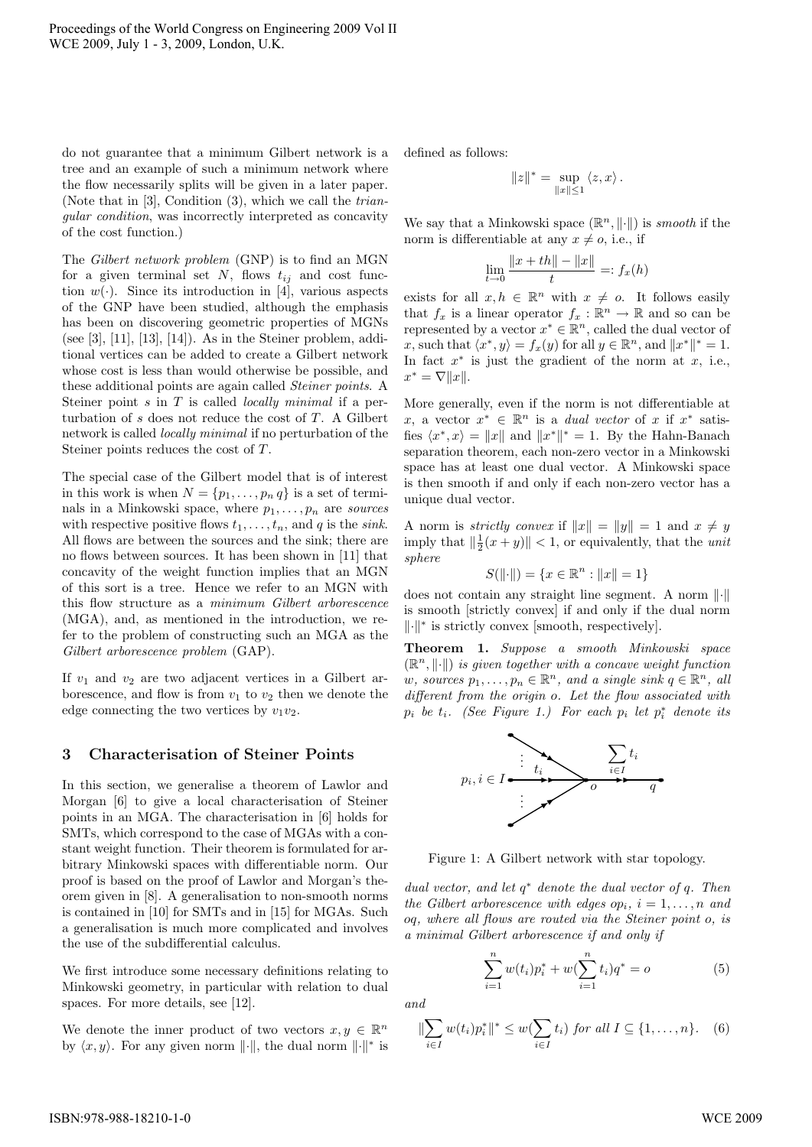do not guarantee that a minimum Gilbert network is a tree and an example of such a minimum network where the flow necessarily splits will be given in a later paper. (Note that in [3], Condition (3), which we call the triangular condition, was incorrectly interpreted as concavity of the cost function.)

The Gilbert network problem (GNP) is to find an MGN for a given terminal set  $N$ , flows  $t_{ij}$  and cost function  $w(\cdot)$ . Since its introduction in [4], various aspects of the GNP have been studied, although the emphasis has been on discovering geometric properties of MGNs (see [3],  $[11]$ ,  $[13]$ ,  $[14]$ ). As in the Steiner problem, additional vertices can be added to create a Gilbert network whose cost is less than would otherwise be possible, and these additional points are again called Steiner points. A Steiner point  $s$  in  $T$  is called *locally minimal* if a perturbation of  $s$  does not reduce the cost of  $T$ . A Gilbert network is called locally minimal if no perturbation of the Steiner points reduces the cost of T.

The special case of the Gilbert model that is of interest in this work is when  $N = \{p_1, \ldots, p_n q\}$  is a set of terminals in a Minkowski space, where  $p_1, \ldots, p_n$  are sources with respective positive flows  $t_1, \ldots, t_n$ , and q is the sink. All flows are between the sources and the sink; there are no flows between sources. It has been shown in [11] that concavity of the weight function implies that an MGN of this sort is a tree. Hence we refer to an MGN with this flow structure as a minimum Gilbert arborescence (MGA), and, as mentioned in the introduction, we refer to the problem of constructing such an MGA as the Gilbert arborescence problem (GAP).

If  $v_1$  and  $v_2$  are two adjacent vertices in a Gilbert arborescence, and flow is from  $v_1$  to  $v_2$  then we denote the edge connecting the two vertices by  $v_1v_2$ .

## **3 Characterisation of Steiner Points**

In this section, we generalise a theorem of Lawlor and Morgan [6] to give a local characterisation of Steiner points in an MGA. The characterisation in [6] holds for SMTs, which correspond to the case of MGAs with a constant weight function. Their theorem is formulated for arbitrary Minkowski spaces with differentiable norm. Our proof is based on the proof of Lawlor and Morgan's theorem given in [8]. A generalisation to non-smooth norms is contained in [10] for SMTs and in [15] for MGAs. Such a generalisation is much more complicated and involves the use of the subdifferential calculus.

We first introduce some necessary definitions relating to Minkowski geometry, in particular with relation to dual spaces. For more details, see [12].

We denote the inner product of two vectors  $x, y \in \mathbb{R}^n$ by  $\langle x, y \rangle$ . For any given norm  $\lVert \cdot \rVert$ , the dual norm  $\lVert \cdot \rVert^*$  is defined as follows:

$$
||z||^* = \sup_{||x|| \le 1} \langle z, x \rangle.
$$

We say that a Minkowski space  $(\mathbb{R}^n, \|\cdot\|)$  is *smooth* if the norm is differentiable at any  $x \neq o$ , i.e., if

$$
\lim_{t \to 0} \frac{\|x + th\| - \|x\|}{t} =: f_x(h)
$$

exists for all  $x, h \in \mathbb{R}^n$  with  $x \neq o$ . It follows easily that  $f_x$  is a linear operator  $f_x : \mathbb{R}^n \to \mathbb{R}$  and so can be represented by a vector  $x^* \in \mathbb{R}^n$ , called the dual vector of x, such that  $\langle x^*, y \rangle = f_x(y)$  for all  $y \in \mathbb{R}^n$ , and  $||x^*||^* = 1$ . In fact  $x^*$  is just the gradient of the norm at  $x$ , i.e.,  $x^* = \nabla ||x||.$ 

More generally, even if the norm is not differentiable at x, a vector  $x^* \in \mathbb{R}^n$  is a *dual vector* of x if  $x^*$  satisfies  $\langle x^*, x \rangle = ||x||$  and  $||x^*||^* = 1$ . By the Hahn-Banach separation theorem, each non-zero vector in a Minkowski space has at least one dual vector. A Minkowski space is then smooth if and only if each non-zero vector has a unique dual vector.

A norm is *strictly convex* if  $||x|| = ||y|| = 1$  and  $x \neq y$ imply that  $\|\frac{1}{2}(x+y)\| < 1$ , or equivalently, that the *unit* sphere

$$
S(\|\cdot\|) = \{x \in \mathbb{R}^n : \|x\| = 1\}
$$

does not contain any straight line segment. A norm  $\lVert \cdot \rVert$ is smooth [strictly convex] if and only if the dual norm  $\|\cdot\|^*$  is strictly convex [smooth, respectively].

**Theorem 1.** Suppose a smooth Minkowski space  $(\mathbb{R}^n, \|\cdot\|)$  is given together with a concave weight function w, sources  $p_1, \ldots, p_n \in \mathbb{R}^n$ , and a single sink  $q \in \mathbb{R}^n$ , all different from the origin o. Let the flow associated with  $p_i$  be  $t_i$ . (See Figure 1.) For each  $p_i$  let  $p_i^*$  denote its



Figure 1: A Gilbert network with star topology.

dual vector, and let  $q^*$  denote the dual vector of  $q$ . Then the Gilbert arborescence with edges  $op_i$ ,  $i = 1, \ldots, n$  and oq, where all flows are routed via the Steiner point o, is a minimal Gilbert arborescence if and only if

$$
\sum_{i=1}^{n} w(t_i) p_i^* + w(\sum_{i=1}^{n} t_i) q^* = o \tag{5}
$$

and

$$
\|\sum_{i\in I} w(t_i)p_i^*\|^* \le w(\sum_{i\in I} t_i) \text{ for all } I \subseteq \{1,\ldots,n\}. \quad (6)
$$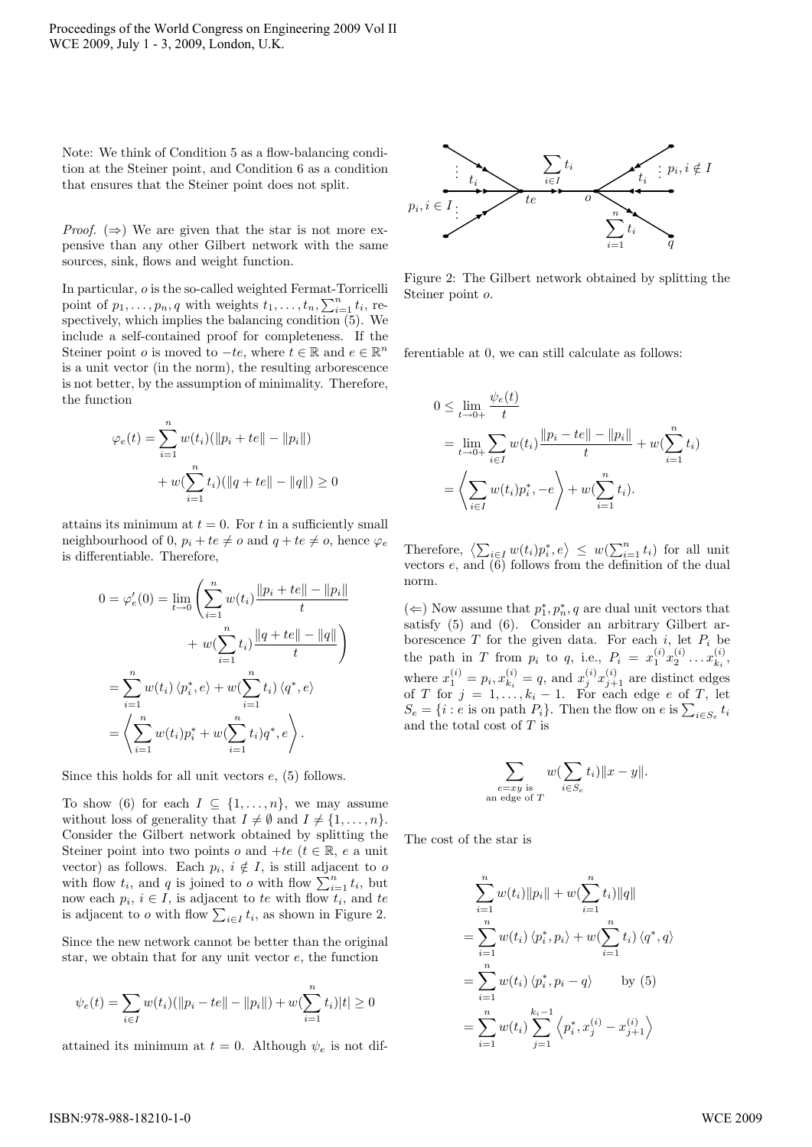Note: We think of Condition 5 as a flow-balancing condition at the Steiner point, and Condition 6 as a condition that ensures that the Steiner point does not split.

*Proof.*  $(\Rightarrow)$  We are given that the star is not more expensive than any other Gilbert network with the same sources, sink, flows and weight function.

In particular, o is the so-called weighted Fermat-Torricelli point of  $p_1, \ldots, p_n, q$  with weights  $t_1, \ldots, t_n, \sum_{i=1}^n t_i$ , respectively, which implies the balancing condition (5). We include a self-contained proof for completeness. If the Steiner point *o* is moved to  $-te$ , where  $t \in \mathbb{R}$  and  $e \in \mathbb{R}^n$ is a unit vector (in the norm), the resulting arborescence is not better, by the assumption of minimality. Therefore, the function

$$
\varphi_e(t) = \sum_{i=1}^n w(t_i) (\|p_i + te\| - \|p_i\|)
$$

$$
+ w(\sum_{i=1}^n t_i) (\|q + te\| - \|q\|) \ge 0
$$

attains its minimum at  $t = 0$ . For t in a sufficiently small neighbourhood of 0,  $p_i + te \neq o$  and  $q + te \neq o$ , hence  $\varphi_e$ is differentiable. Therefore,

$$
0 = \varphi'_e(0) = \lim_{t \to 0} \left( \sum_{i=1}^n w(t_i) \frac{\|p_i + te\| - \|p_i\|}{t} + w(\sum_{i=1}^n t_i) \frac{\|q + te\| - \|q\|}{t} \right)
$$
  

$$
= \sum_{i=1}^n w(t_i) \langle p_i^*, e \rangle + w(\sum_{i=1}^n t_i) \langle q^*, e \rangle
$$
  

$$
= \left\langle \sum_{i=1}^n w(t_i) p_i^* + w(\sum_{i=1}^n t_i) q^*, e \right\rangle.
$$

Since this holds for all unit vectors  $e$ , (5) follows.

To show (6) for each  $I \subseteq \{1,\ldots,n\}$ , we may assume without loss of generality that  $I \neq \emptyset$  and  $I \neq \{1, \ldots, n\}.$ Consider the Gilbert network obtained by splitting the Steiner point into two points  $o$  and  $+te$  ( $t \in \mathbb{R}$ ,  $e$  a unit vector) as follows. Each  $p_i$ ,  $i \notin I$ , is still adjacent to o with flow  $t_i$ , and q is joined to o with flow  $\sum_{i=1}^{n} t_i$ , but now each  $p_i, i \in I$ , is adjacent to te with flow  $t_i$ , and te is adjacent to *o* with flow  $\sum_{i \in I} t_i$ , as shown in Figure 2.

Since the new network cannot be better than the original star, we obtain that for any unit vector  $e$ , the function

$$
\psi_e(t) = \sum_{i \in I} w(t_i) (\|p_i - te\| - \|p_i\|) + w(\sum_{i=1}^n t_i)|t| \ge 0
$$

attained its minimum at  $t = 0$ . Although  $\psi_e$  is not dif-



Figure 2: The Gilbert network obtained by splitting the Steiner point o.

ferentiable at 0, we can still calculate as follows:

$$
0 \le \lim_{t \to 0+} \frac{\psi_e(t)}{t}
$$
  
= 
$$
\lim_{t \to 0+} \sum_{i \in I} w(t_i) \frac{\|p_i - te\| - \|p_i\|}{t} + w(\sum_{i=1}^n t_i)
$$
  
= 
$$
\left\langle \sum_{i \in I} w(t_i) p_i^*, -e \right\rangle + w(\sum_{i=1}^n t_i).
$$

Therefore,  $\left\langle \sum_{i\in I} w(t_i) p_i^*, e \right\rangle \leq w(\sum_{i=1}^n t_i)$  for all unit vectors  $e$ , and  $(6)$  follows from the definition of the dual norm.

(←) Now assume that  $p_1^*, p_n^*, q$  are dual unit vectors that satisfy (5) and (6). Consider an arbitrary Gilbert arborescence  $T$  for the given data. For each  $i$ , let  $P_i$  be the path in T from  $p_i$  to q, i.e.,  $P_i = x_1^{(i)} x_2^{(i)} \dots x_{k_i}^{(i)}$ , where  $x_1^{(i)} = p_i, x_{k_i}^{(i)} = q$ , and  $x_j^{(i)} x_{j+1}^{(i)}$  are distinct edges of T for  $j = 1, ..., k_i - 1$ . For each edge e of T, let  $S_e = \{i : e \text{ is on path } P_i\}.$  Then the flow on  $e$  is  $\sum_{i \in S_e} t_i$ and the total cost of  $T$  is

$$
\sum_{\substack{e=xy \text{ is} \\ e \text{ edge of } T}} w(\sum_{i \in S_e} t_i) \|x - y\|.
$$

The cost of the star is

an

$$
\sum_{i=1}^{n} w(t_i) \|p_i\| + w(\sum_{i=1}^{n} t_i) \|q\|
$$
  
= 
$$
\sum_{i=1}^{n} w(t_i) \langle p_i^*, p_i \rangle + w(\sum_{i=1}^{n} t_i) \langle q^*, q \rangle
$$
  
= 
$$
\sum_{i=1}^{n} w(t_i) \langle p_i^*, p_i - q \rangle
$$
 by (5)  
= 
$$
\sum_{i=1}^{n} w(t_i) \sum_{j=1}^{k_i-1} \langle p_i^*, x_j^{(i)} - x_{j+1}^{(i)} \rangle
$$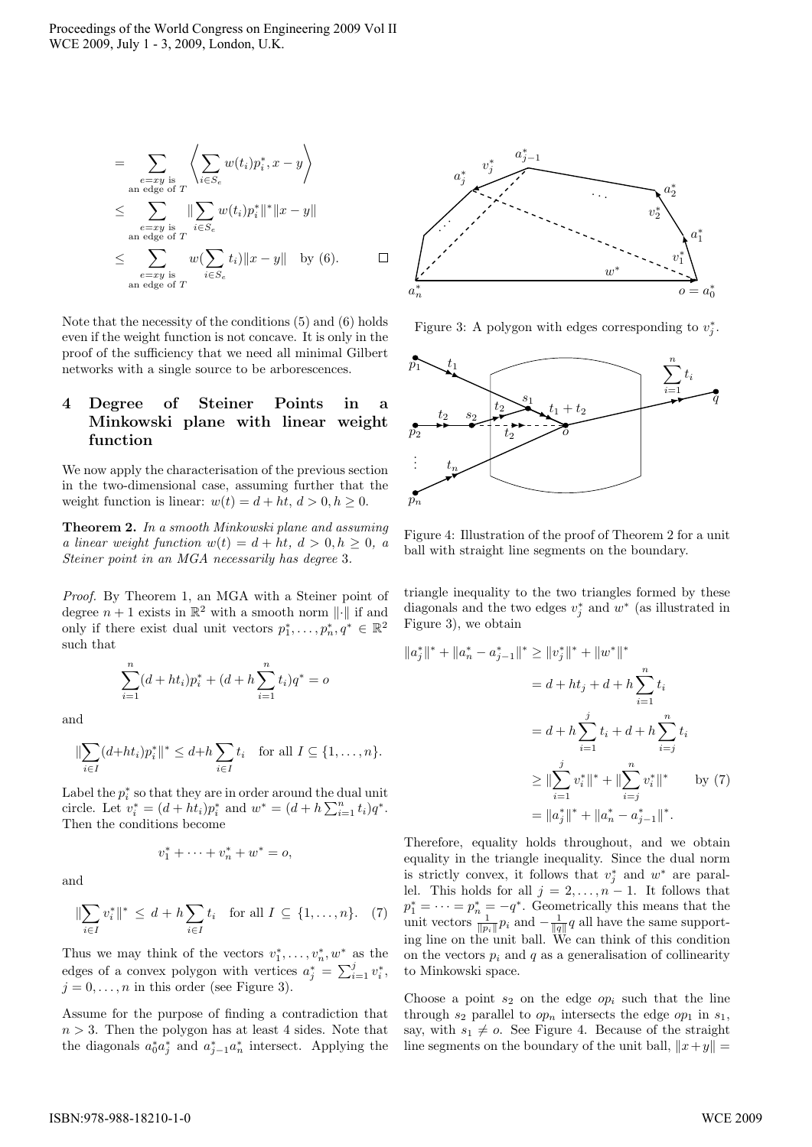$$
= \sum_{\substack{e=xy \text{ is} \\ \text{an edge of } T}} \left\langle \sum_{i \in S_e} w(t_i) p_i^*, x - y \right\rangle
$$
  

$$
\leq \sum_{\substack{e=xy \text{ is} \\ \text{an edge of } T}} \| \sum_{i \in S_e} w(t_i) p_i^* \|^{*} \| x - y \|
$$
  

$$
\leq \sum_{\substack{e=xy \text{ is} \\ \text{an edge of } T}} w(\sum_{i \in S_e} t_i) \| x - y \| \text{ by (6).} \qquad \Box
$$

Note that the necessity of the conditions (5) and (6) holds even if the weight function is not concave. It is only in the proof of the sufficiency that we need all minimal Gilbert networks with a single source to be arborescences.

## **4 Degree of Steiner Points in a Minkowski plane with linear weight function**

We now apply the characterisation of the previous section in the two-dimensional case, assuming further that the weight function is linear:  $w(t) = d + ht, d > 0, h \ge 0$ .

**Theorem 2.** In a smooth Minkowski plane and assuming a linear weight function  $w(t) = d + ht, d > 0, h \ge 0, a$ Steiner point in an MGA necessarily has degree 3.

Proof. By Theorem 1, an MGA with a Steiner point of degree  $n + 1$  exists in  $\mathbb{R}^2$  with a smooth norm  $\lVert \cdot \rVert$  if and only if there exist dual unit vectors  $p_1^*, \ldots, p_n^*, q^* \in \mathbb{R}^2$ such that

$$
\sum_{i=1}^{n} (d+ht_i)p_i^* + (d+h\sum_{i=1}^{n} t_i)q^* = o
$$

and

$$
\|\sum_{i\in I} (d+ht_i)p_i^*\|^* \leq d+h\sum_{i\in I} t_i \quad \text{for all } I \subseteq \{1,\ldots,n\}.
$$

Label the  $p_i^*$  so that they are in order around the dual unit circle. Let  $v_i^* = (d + ht_i)p_i^*$  and  $w^* = (d + h\sum_{i=1}^n t_i)q^*$ . Then the conditions become

$$
v_1^* + \dots + v_n^* + w^* = o,
$$

and

$$
\|\sum_{i\in I} v_i^*\|^* \le d + h \sum_{i\in I} t_i \quad \text{for all } I \subseteq \{1, \dots, n\}. \tag{7}
$$

Thus we may think of the vectors  $v_1^*, \ldots, v_n^*, w^*$  as the edges of a convex polygon with vertices  $a_j^* = \sum_{i=1}^j v_i^*$ ,  $j = 0, \ldots, n$  in this order (see Figure 3).

Assume for the purpose of finding a contradiction that  $n > 3$ . Then the polygon has at least 4 sides. Note that the diagonals  $a_0^* a_j^*$  and  $a_{j-1}^* a_n^*$  intersect. Applying the



Figure 3: A polygon with edges corresponding to  $v_i^*$ .



Figure 4: Illustration of the proof of Theorem 2 for a unit ball with straight line segments on the boundary.

triangle inequality to the two triangles formed by these diagonals and the two edges  $v_j^*$  and  $w^*$  (as illustrated in Figure 3), we obtain

$$
||a_j^*||^* + ||a_n^* - a_{j-1}^*||^* \ge ||v_j^*||^* + ||w^*||^*
$$
  
=  $d + ht_j + d + h \sum_{i=1}^n t_i$   
=  $d + h \sum_{i=1}^j t_i + d + h \sum_{i=j}^n t_i$   
 $\ge ||\sum_{i=1}^j v_i^*||^* + ||\sum_{i=j}^n v_i^*||^* \qquad \text{by (7)}$   
=  $||a_j^*||^* + ||a_n^* - a_{j-1}^*||^*.$ 

Therefore, equality holds throughout, and we obtain equality in the triangle inequality. Since the dual norm is strictly convex, it follows that  $v_i^*$  and  $w^*$  are parallel. This holds for all  $j = 2, \ldots, n-1$ . It follows that  $p_1^* = \cdots = p_n^* = -q^*$ . Geometrically this means that the unit vectors  $\frac{1}{\|p_i\|} p_i$  and  $-\frac{1}{\|q\|} q$  all have the same support-<br>ing line on the unit ball. We can think of this condition on the vectors  $p_i$  and q as a generalisation of collinearity to Minkowski space.

Choose a point  $s_2$  on the edge  $op_i$  such that the line through  $s_2$  parallel to  $op_n$  intersects the edge  $op_1$  in  $s_1$ , say, with  $s_1 \neq o$ . See Figure 4. Because of the straight line segments on the boundary of the unit ball,  $||x+y|| =$